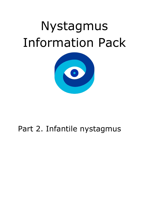# Nystagmus Information Pack



## Part 2. Infantile nystagmus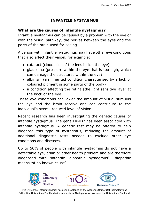#### **INFANTILE NYSTAGMUS**

#### **What are the causes of infantile nystagmus?**

Infantile nystagmus can be caused by a problem with the eye or with the visual pathway, the nerves between the eyes and the parts of the brain used for seeing.

A person with infantile nystagmus may have other eye conditions that also affect their vision, for example:

- cataract (cloudiness of the lens inside the eye)
- glaucoma (pressure within the eye that is too high, which can damage the structures within the eye)
- albinism (an inherited condition characterised by a lack of coloured pigment in some parts of the body)
- a condition affecting the retina (the light sensitive layer at the back of the eye)

These eye conditions can lower the amount of visual stimulus the eye and the brain receive and can contribute to the individual's overall reduced level of vision.

Recent research has been investigating the genetic causes of infantile nystagmus. The gene FRMD7 has been associated with infantile nystagmus. A genetic test may be offered to help diagnose this type of nystagmus, reducing the amount of additional diagnostic tests needed to exclude other eye conditions and diseases.

Up to 50% of people with infantile nystagmus do not have a detectable eye, brain or other health problem and are therefore diagnosed with 'infantile idiopathic nystagmus'. Idiopathic means 'of no known cause'.

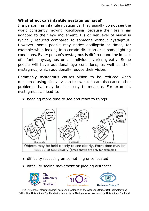#### **What effect can infantile nystagmus have?**

If a person has infantile nystagmus, they usually do not see the world constantly moving (oscillopsia) because their brain has adapted to their eye movement. His or her level of vision is typically reduced compared to someone without nystagmus. However, some people may notice oscillopsia at times, for example when looking in a certain direction or in some lighting conditions. Every person's nystagmus is different and the impact of infantile nystagmus on an individual varies greatly. Some people will have additional eye conditions, as well as their nystagmus, which additionally reduce their vision.

Commonly nystagmus causes vision to be reduced when measured using clinical vision tests, but it can also cause other problems that may be less easy to measure. For example, nystagmus can lead to:

● needing more time to see and react to things



- difficulty focussing on something once located
- difficulty seeing movement or judging distances

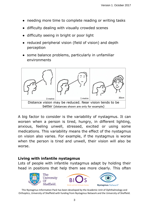- needing more time to complete reading or writing tasks
- difficulty dealing with visually crowded scenes
- difficulty seeing in bright or poor light
- reduced peripheral vision (field of vision) and depth perception
- some balance problems, particularly in unfamiliar environments



A big factor to consider is the variability of nystagmus. It can worsen when a person is tired, hungry, in different lighting, anxious, feeling unwell, stressed, excited or using some medications. This variability means the effect of the nystagmus on vision also varies. For example, if the nystagmus is worse when the person is tired and unwell, their vision will also be worse.

#### **Living with infantile nystagmus**

Lots of people with infantile nystagmus adapt by holding their head in positions that help them see more clearly. This often





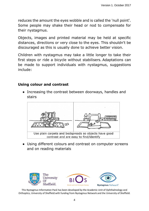reduces the amount the eyes wobble and is called the 'null point'. Some people may shake their head or nod to compensate for their nystagmus.

Objects, images and printed material may be held at specific distances, directions or very close to the eyes. This shouldn't be discouraged as this is usually done to achieve better vision.

Children with nystagmus may take a little longer to take their first steps or ride a bicycle without stabilisers. Adaptations can be made to support individuals with nystagmus, suggestions include:

#### **Using colour and contrast**

• Increasing the contrast between doorways, handles and stairs



● Using different colours and contrast on computer screens and on reading materials

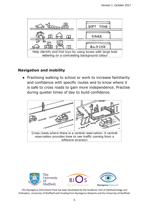

#### **Navigation and mobility**

● Practising walking to school or work to increase familiarity and confidence with specific routes and to know where it is safe to cross roads to gain more independence. Practise during quieter times of day to build confidence.



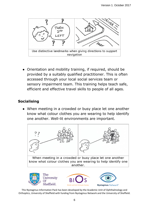

Orientation and mobility training, if required, should be provided by a suitably qualified practitioner. This is often accessed through your local social services team or sensory impairment team. This training helps teach safe, efficient and effective travel skills to people of all ages.

#### **Socialising**

• When meeting in a crowded or busy place let one another know what colour clothes you are wearing to help identify one another. Well-lit environments are important.

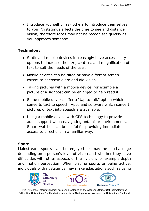● Introduce yourself or ask others to introduce themselves to you. Nystagmus affects the time to see and distance vision, therefore faces may not be recognised quickly as you approach someone.

#### **Technology**

- Static and mobile devices increasingly have accessibility options to increase the size, contrast and magnification of text to suit the needs of the user.
- Mobile devices can be tilted or have different screen covers to decrease glare and aid vision.
- Taking pictures with a mobile device, for example a picture of a signpost can be enlarged to help read it.
- Some mobile devices offer a "tap to talk" option which converts text to speech. Apps and software which convert pictures of text into speech are available.
- Using a mobile device with GPS technology to provide audio support when navigating unfamiliar environments. Smart watches can be useful for providing immediate access to directions in a familiar way.

### **Sport**

Mainstream sports can be enjoyed or may be a challenge depending on a person's level of vision and whether they have difficulties with other aspects of their vision, for example depth and motion perception. When playing sports or being active, individuals with nystagmus may make adaptations such as using





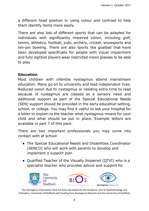a different head position or using colour and contrast to help them identify items more easily.

There are also lots of different sports that can be adapted for individuals with significantly impaired vision, including golf, tennis, athletics, football, judo, archery, cricket, snowsports and ten-pin bowling. There are also sports like goalball that have been developed specifically for people with visual impairment and fully sighted players wear restricted vision glasses to be able to play.

#### **Education**

Most children with infantile nystagmus attend mainstream education. Many go on to university and lead independent lives. Reduced vision due to nystagmus or needing extra time to read because of nystagmus are classed as a sensory need and additional support as part of the Special Educational Needs (SEN) support should be provided in the early education setting, school, or college. You may find it useful to ask your hospital for a letter to explain to the teacher what nystagmus means for your child and what should be put in place. Example letters are available in part 7 of this pack.

There are two important professionals you may come into contact with at school:

- The Special Educational Needs and Disabilities Coordinator (SENCO) who will work with parents to develop and implement a support plan
- Qualified Teacher of the Visually Impaired (QTVI) who is a specialist teacher who provides advice and support for

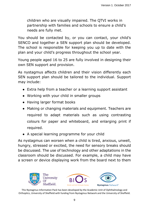children who are visually impaired. The QTVI works in partnership with families and schools to ensure a child's needs are fully met.

You should be contacted by, or you can contact, your child's SENCO and together a SEN support plan should be developed. The school is responsible for keeping you up to date with the plan and your child's progress throughout the school year.

Young people aged 16 to 25 are fully involved in designing their own SEN support and provision.

As nystagmus affects children and their vision differently each SEN support plan should be tailored to the individual. Support may include:

- Extra help from a teacher or a learning support assistant
- Working with your child in smaller groups
- Having larger format books
- Making or changing materials and equipment. Teachers are required to adapt materials such as using contrasting colours for paper and whiteboard, and enlarging print if required.
- A special learning programme for your child

As nystagmus can worsen when a child is tired, anxious, unwell, hungry, stressed or excited, the need for sensory breaks should be discussed. The use of technology and other adaptations in the classroom should be discussed. For example, a child may have a screen or device displaying work from the board next to them

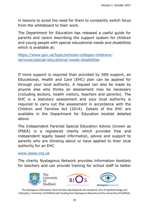in lessons to avoid the need for them to constantly switch focus from the whiteboard to their work.

The Department for Education has released a useful guide for parents and carers describing the support system for children and young people with special educational needs and disabilities which is available at:

[https://www.gov.uk/topic/schools-colleges-childrens](https://www.gov.uk/topic/schools-colleges-childrens-services/special-educational-needs-disabilities)[services/special-educational-needs-disabilities](https://www.gov.uk/topic/schools-colleges-childrens-services/special-educational-needs-disabilities)

If more support is required than provided by SEN support, an Educational, Health and Care (EHC) plan can be applied for through your local authority. A request can also be made by anyone else who thinks an assessment may be necessary (including doctors, health visitors, teachers and parents). The EHC is a statutory assessment and your local authority is required to carry out the assessment in accordance with the Children and Families Act (2014). Details of the EHC are available in the Department for Education booklet detailed above.

The Independent Parental Special Education Advice (known as IPSEA) is a registered charity which provides free and independent legally based information, advice and support to parents who are thinking about or have applied to their local authority for an EHC.

#### [www.ipsea.org.uk](http://www.ipsea.org.uk/)

The charity Nystagmus Network provides information booklets for teachers and can provide training for school staff to better